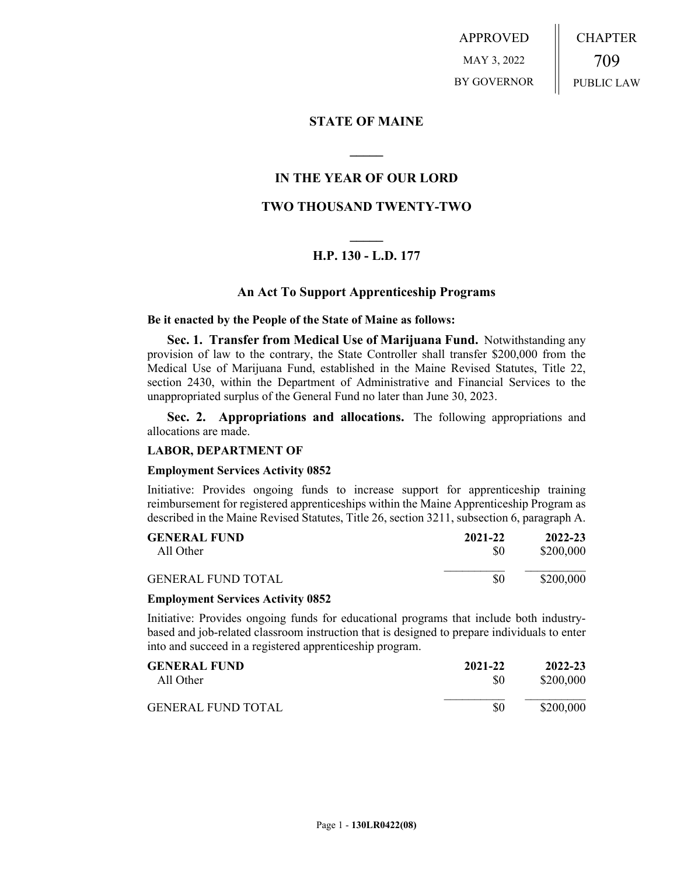APPROVED MAY 3, 2022 BY GOVERNOR CHAPTER 709 PUBLIC LAW

## **STATE OF MAINE**

# **IN THE YEAR OF OUR LORD**

**\_\_\_\_\_**

# **TWO THOUSAND TWENTY-TWO**

# **\_\_\_\_\_ H.P. 130 - L.D. 177**

## **An Act To Support Apprenticeship Programs**

## **Be it enacted by the People of the State of Maine as follows:**

**Sec. 1. Transfer from Medical Use of Marijuana Fund.** Notwithstanding any provision of law to the contrary, the State Controller shall transfer \$200,000 from the Medical Use of Marijuana Fund, established in the Maine Revised Statutes, Title 22, section 2430, within the Department of Administrative and Financial Services to the unappropriated surplus of the General Fund no later than June 30, 2023.

**Sec. 2. Appropriations and allocations.** The following appropriations and allocations are made.

## **LABOR, DEPARTMENT OF**

#### **Employment Services Activity 0852**

Initiative: Provides ongoing funds to increase support for apprenticeship training reimbursement for registered apprenticeships within the Maine Apprenticeship Program as described in the Maine Revised Statutes, Title 26, section 3211, subsection 6, paragraph A.

| <b>GENERAL FUND</b>       | 2021-22 | 2022-23   |
|---------------------------|---------|-----------|
| All Other                 | \$0     | \$200,000 |
| <b>GENERAL FUND TOTAL</b> | \$0     | \$200,000 |

### **Employment Services Activity 0852**

Initiative: Provides ongoing funds for educational programs that include both industrybased and job-related classroom instruction that is designed to prepare individuals to enter into and succeed in a registered apprenticeship program.

| <b>GENERAL FUND</b> | 2021-22 | 2022-23   |
|---------------------|---------|-----------|
| All Other           | \$0     | \$200,000 |
| GENERAL FUND TOTAL  | \$0     | \$200,000 |